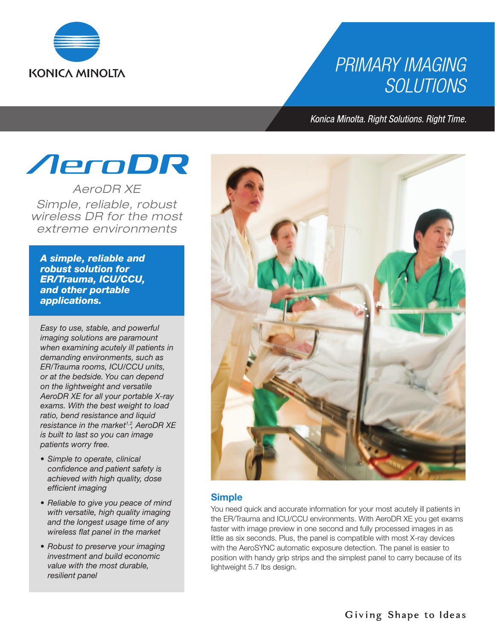

## **PRIMARY IMAGING SOLUTIONS**

Konica Minolta. Right Solutions. Right Time.

# *AeroDR*

*AeroDR XE Simple, reliable, robust wireless DR for the most extreme environments*

*A simple, reliable and robust solution for ER/Trauma, ICU/CCU, and other portable applications.*

*Easy to use, stable, and powerful imaging solutions are paramount when examining acutely ill patients in demanding environments, such as ER/Trauma rooms, ICU/CCU units, or at the bedside. You can depend on the lightweight and versatile AeroDR XE for all your portable X-ray exams. With the best weight to load ratio, bend resistance and liquid resistance in the market1,2, AeroDR XE is built to last so you can image patients worry free.*

- *• Simple to operate, clinical confidence and patient safety is achieved with high quality, dose efficient imaging*
- *• Reliable to give you peace of mind with versatile, high quality imaging and the longest usage time of any wireless flat panel in the market*
- *• Robust to preserve your imaging investment and build economic value with the most durable, resilient panel*



#### **Simple**

You need quick and accurate information for your most acutely ill patients in the ER/Trauma and ICU/CCU environments. With AeroDR XE you get exams faster with image preview in one second and fully processed images in as little as six seconds. Plus, the panel is compatible with most X-ray devices with the AeroSYNC automatic exposure detection. The panel is easier to position with handy grip strips and the simplest panel to carry because of its lightweight 5.7 lbs design.